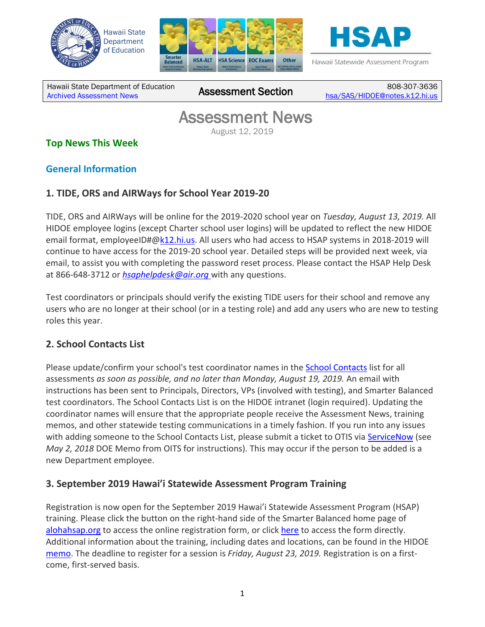





Hawaii Statewide Assessment Program

Hawaii State Department of Education [Archived Assessment News](http://alohahsap.org/SMARTERBALANCED/resources/?section=91) Assessment Section 808-307-3636

[hsa/SAS/HIDOE@notes.k12.hi.us](mailto:hsa/SAS/HIDOE@notes.k12.hi.us)

## **Assessment News**<br>August 12, 2019

## **Top News This Week**

## **General Information**

## **1. TIDE, ORS and AIRWays for School Year 2019-20**

TIDE, ORS and AIRWays will be online for the 2019-2020 school year on *Tuesday, August 13, 2019.* All HIDOE employee logins (except Charter school user logins) will be updated to reflect the new HIDOE email format, employeeID#[@k12.hi.us.](http://k12.hi.us/) All users who had access to HSAP systems in 2018-2019 will continue to have access for the 2019-20 school year. Detailed steps will be provided next week, via email, to assist you with completing the password reset process. Please contact the HSAP Help Desk at 866-648-3712 or *[hsaphelpdesk@air.org](mailto:hsaphelpdesk@air.org)* with any questions.

Test coordinators or principals should verify the existing TIDE users for their school and remove any users who are no longer at their school (or in a testing role) and add any users who are new to testing roles this year.

#### **2. School Contacts List**

Please update/confirm your school's test coordinator names in the [School Contacts](https://intranet.hawaiipublicschools.org/offices/osip/aa/Pages/SchoolContacts.aspx) list for all assessments *as soon as possible, and no later than Monday, August 19, 2019.* An email with instructions has been sent to Principals, Directors, VPs (involved with testing), and Smarter Balanced test coordinators. The School Contacts List is on the HIDOE intranet (login required). Updating the coordinator names will ensure that the appropriate people receive the Assessment News, training memos, and other statewide testing communications in a timely fashion. If you run into any issues with adding someone to the School Contacts List, please submit a ticket to OTIS via [ServiceNow](http://help.hidoe.org/) (see *May 2, 2018* DOE Memo from OITS for instructions). This may occur if the person to be added is a new Department employee.

#### **3. September 2019 Hawai'i Statewide Assessment Program Training**

Registration is now open for the September 2019 Hawai'i Statewide Assessment Program (HSAP) training. Please click the button on the right-hand side of the Smarter Balanced home page of [alohahsap.org](http://alohahsap.org/) to access the online registration form, or click [here](https://events.r20.constantcontact.com/register/eventReg?oeidk=a07egd4ipyx5aeae514&oseq=&c=&ch=) to access the form directly. Additional information about the training, including dates and locations, can be found in the HIDOE [memo.](https://smarterbalanced.alohahsap.org/core/fileparse.php/3410/urlt/HSAP-Assessment-Training-Memo-Sept-2019_SIGNED_053119.pdf) The deadline to register for a session is *Friday, August 23, 2019.* Registration is on a firstcome, first-served basis.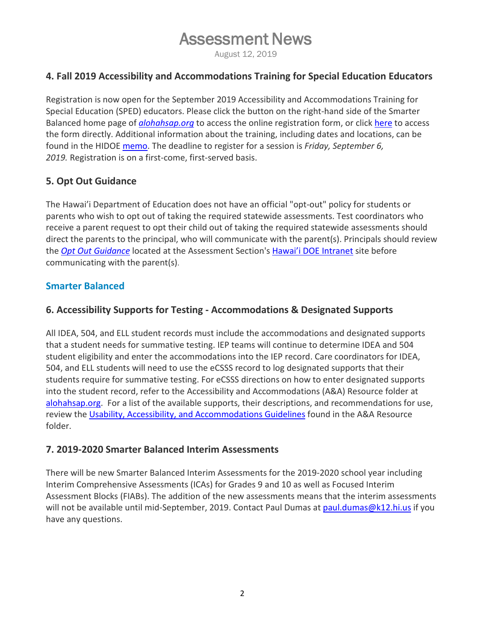# **Assessment News**<br>August 12, 2019

### **4. Fall 2019 Accessibility and Accommodations Training for Special Education Educators**

Registration is now open for the September 2019 Accessibility and Accommodations Training for Special Education (SPED) educators. Please click the button on the right-hand side of the Smarter Balanced home page of *[alohahsap.org](https://alohahsap.org/)* to access the online registration form, or click [here](https://events.r20.constantcontact.com/register/eventReg?oeidk=a07egdw3zcl50520650) to access the form directly. Additional information about the training, including dates and locations, can be found in the HIDOE [memo.](https://smarterbalanced.alohahsap.org/core/fileparse.php/3410/urlt/Memo_AA-Training-Fall-2019-FINAL.pdf) The deadline to register for a session is *Friday, September 6, 2019.* Registration is on a first-come, first-served basis.

## **5. Opt Out Guidance**

The Hawai'i Department of Education does not have an official "opt-out" policy for students or parents who wish to opt out of taking the required statewide assessments. Test coordinators who receive a parent request to opt their child out of taking the required statewide assessments should direct the parents to the principal, who will communicate with the parent(s). Principals should review the *[Opt Out Guidance](https://intranet.hawaiipublicschools.org/offices/osip/aa/_layouts/15/osssearchresults.aspx?u=https%3A%2F%2Fintranet%2Ehawaiipublicschools%2Eorg%2Foffices%2Fosip%2Faa&k=Opt%20out%20guidance)* located at the Assessment Section'[s Hawai'i DOE Intranet](https://intranet.hawaiipublicschools.org/) site before communicating with the parent(s).

#### **Smarter Balanced**

### **6. Accessibility Supports for Testing - Accommodations & Designated Supports**

All IDEA, 504, and ELL student records must include the accommodations and designated supports that a student needs for summative testing. IEP teams will continue to determine IDEA and 504 student eligibility and enter the accommodations into the IEP record. Care coordinators for IDEA, 504, and ELL students will need to use the eCSSS record to log designated supports that their students require for summative testing. For eCSSS directions on how to enter designated supports into the student record, refer to the Accessibility and Accommodations (A&A) Resource folder at [alohahsap.org.](http://alohahsap.org/) For a list of the available supports, their descriptions, and recommendations for use, review the [Usability, Accessibility, and Accommodations Guidelines](https://smarterbalanced.alohahsap.org/core/fileparse.php/3410/urlt/2019_Usability-Accessibility-and-Accommodations-Guidelines.pdf) found in the A&A Resource folder.

#### **7. 2019-2020 Smarter Balanced Interim Assessments**

There will be new Smarter Balanced Interim Assessments for the 2019-2020 school year including Interim Comprehensive Assessments (ICAs) for Grades 9 and 10 as well as Focused Interim Assessment Blocks (FIABs). The addition of the new assessments means that the interim assessments will not be available until mid-September, 2019. Contact Paul Dumas at [paul.dumas@k12.hi.us](mailto:paul.dumas@k12.hi.us) if you have any questions.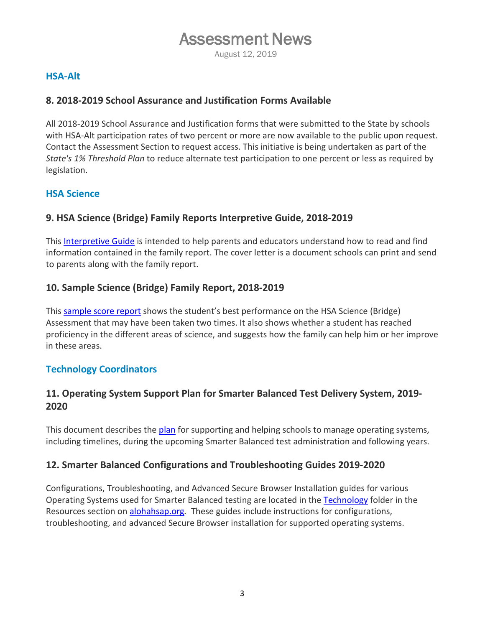# **Assessment News**<br>August 12, 2019

#### **HSA-Alt**

#### **8. 2018-2019 School Assurance and Justification Forms Available**

All 2018-2019 School Assurance and Justification forms that were submitted to the State by schools with HSA-Alt participation rates of two percent or more are now available to the public upon request. Contact the Assessment Section to request access. This initiative is being undertaken as part of the *State's 1% Threshold Plan* to reduce alternate test participation to one percent or less as required by legislation.

#### **HSA Science**

## **9. HSA Science (Bridge) Family Reports Interpretive Guide, 2018-2019**

This [Interpretive Guide](https://hsa.alohahsap.org/core/fileparse.php/3388/urlt/HI-Spring-2019-HSA-Science-Interpretive-Guide-080119.pdf) is intended to help parents and educators understand how to read and find information contained in the family report. The cover letter is a document schools can print and send to parents along with the family report.

#### **10. Sample Science (Bridge) Family Report, 2018-2019**

This [sample score report](https://hsa.alohahsap.org/core/fileparse.php/3388/urlt/HI-Spring-2019-HSA-Science-Sample-Score-Report-080119.pdf) shows the student's best performance on the HSA Science (Bridge) Assessment that may have been taken two times. It also shows whether a student has reached proficiency in the different areas of science, and suggests how the family can help him or her improve in these areas.

#### **Technology Coordinators**

## **11. Operating System Support Plan for Smarter Balanced Test Delivery System, 2019- 2020**

This document describes the [plan](https://hsa.alohahsap.org/core/fileparse.php/3388/urlt/Operating-System-Support-Plan_2019-2020.pdf) for supporting and helping schools to manage operating systems, including timelines, during the upcoming Smarter Balanced test administration and following years.

#### **12. Smarter Balanced Configurations and Troubleshooting Guides 2019-2020**

Configurations, Troubleshooting, and Advanced Secure Browser Installation guides for various Operating Systems used for Smarter Balanced testing are located in the [Technology](https://smarterbalanced.alohahsap.org/resources/technology/) folder in the Resources section on [alohahsap.org](http://alohahsap.org/)*.* These guides include instructions for configurations, troubleshooting, and advanced Secure Browser installation for supported operating systems.